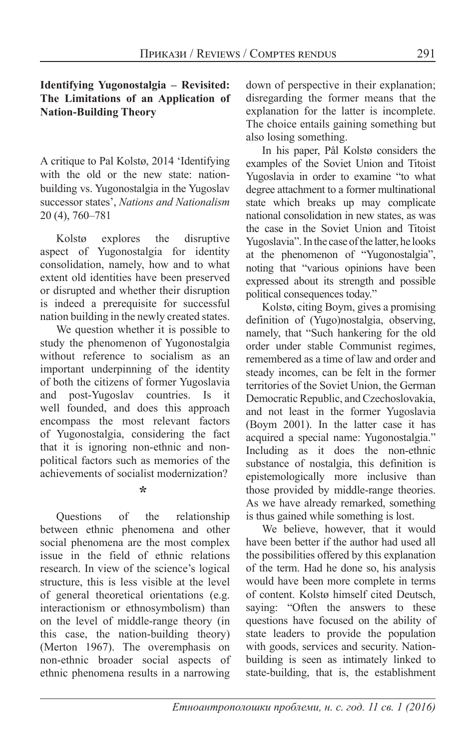## **Identifying Yugonostalgia – Revisited: The Limitations of an Application of Nation-Building Theory**

A critique to Pal Kolstø, 2014 'Identifying with the old or the new state: nationbuilding vs. Yugonostalgia in the Yugoslav successor states', *Nations and Nationalism*  20 (4), 760–781

Kolstø explores the disruptive aspect of Yugonostalgia for identity consolidation, namely, how and to what extent old identities have been preserved or disrupted and whether their disruption is indeed a prerequisite for successful nation building in the newly created states.

We question whether it is possible to study the phenomenon of Yugonostalgia without reference to socialism as an important underpinning of the identity of both the citizens of former Yugoslavia and post-Yugoslav countries. Is it well founded, and does this approach encompass the most relevant factors of Yugonostalgia, considering the fact that it is ignoring non-ethnic and nonpolitical factors such as memories of the achievements of socialist modernization?

**\***

Questions of the relationship between ethnic phenomena and other social phenomena are the most complex issue in the field of ethnic relations research. In view of the science's logical structure, this is less visible at the level of general theoretical orientations (e.g. interactionism or ethnosymbolism) than on the level of middle-range theory (in this case, the nation-building theory) (Merton 1967). The overemphasis on non-ethnic broader social aspects of ethnic phenomena results in a narrowing down of perspective in their explanation; disregarding the former means that the explanation for the latter is incomplete. The choice entails gaining something but also losing something.

In his paper, Pål Kolstø considers the examples of the Soviet Union and Titoist Yugoslavia in order to examine "to what degree attachment to a former multinational state which breaks up may complicate national consolidation in new states, as was the case in the Soviet Union and Titoist Yugoslavia". In the case of the latter, he looks at the phenomenon of "Yugonostalgia", noting that "various opinions have been expressed about its strength and possible political consequences today."

Kolstø, citing Boym, gives a promising definition of (Yugo)nostalgia, observing, namely, that "Such hankering for the old order under stable Communist regimes, remembered as a time of law and order and steady incomes, can be felt in the former territories of the Soviet Union, the German Democratic Republic, and Czechoslovakia, and not least in the former Yugoslavia (Boym 2001). In the latter case it has acquired a special name: Yugonostalgia." Including as it does the non-ethnic substance of nostalgia, this definition is epistemologically more inclusive than those provided by middle-range theories. As we have already remarked, something is thus gained while something is lost.

We believe, however, that it would have been better if the author had used all the possibilities offered by this explanation of the term. Had he done so, his analysis would have been more complete in terms of content. Kolstø himself cited Deutsch, saying: "Often the answers to these questions have focused on the ability of state leaders to provide the population with goods, services and security. Nationbuilding is seen as intimately linked to state-building, that is, the establishment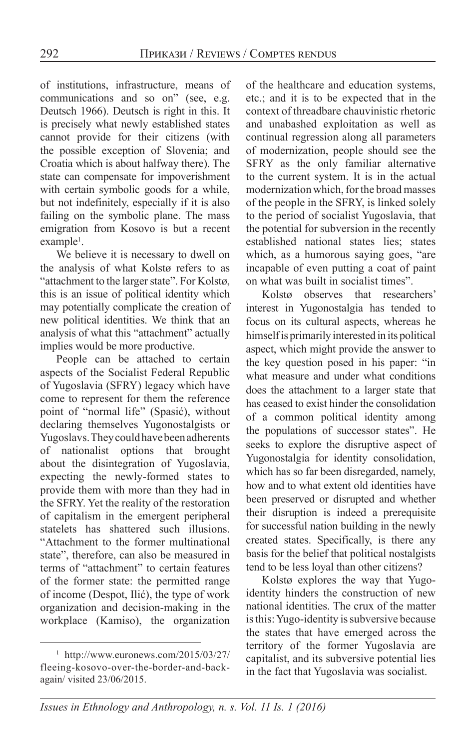of institutions, infrastructure, means of communications and so on" (see, e.g. Deutsch 1966). Deutsch is right in this. It is precisely what newly established states cannot provide for their citizens (with the possible exception of Slovenia; and Croatia which is about halfway there). The state can compensate for impoverishment with certain symbolic goods for a while, but not indefinitely, especially if it is also failing on the symbolic plane. The mass emigration from Kosovo is but a recent example<sup>1</sup>.

We believe it is necessary to dwell on the analysis of what Kolstø refers to as "attachment to the larger state". For Kolstø, this is an issue of political identity which may potentially complicate the creation of new political identities. We think that an analysis of what this "attachment" actually implies would be more productive.

People can be attached to certain aspects of the Socialist Federal Republic of Yugoslavia (SFRY) legacy which have come to represent for them the reference point of "normal life" (Spasić), without declaring themselves Yugonostalgists or Yugoslavs. They could have been adherents of nationalist options that brought about the disintegration of Yugoslavia, expecting the newly-formed states to provide them with more than they had in the SFRY. Yet the reality of the restoration of capitalism in the emergent peripheral statelets has shattered such illusions. "Attachment to the former multinational state", therefore, can also be measured in terms of "attachment" to certain features of the former state: the permitted range of income (Despot, Ilić), the type of work organization and decision-making in the workplace (Kamiso), the organization

of the healthcare and education systems, etc.; and it is to be expected that in the context of threadbare chauvinistic rhetoric and unabashed exploitation as well as continual regression along all parameters of modernization, people should see the SFRY as the only familiar alternative to the current system. It is in the actual modernization which, for the broad masses of the people in the SFRY, is linked solely to the period of socialist Yugoslavia, that the potential for subversion in the recently established national states lies; states which, as a humorous saying goes, "are incapable of even putting a coat of paint on what was built in socialist times".

Kolstø observes that researchers' interest in Yugonostalgia has tended to focus on its cultural aspects, whereas he himself is primarily interested in its political aspect, which might provide the answer to the key question posed in his paper: "in what measure and under what conditions does the attachment to a larger state that has ceased to exist hinder the consolidation of a common political identity among the populations of successor states". He seeks to explore the disruptive aspect of Yugonostalgia for identity consolidation, which has so far been disregarded, namely, how and to what extent old identities have been preserved or disrupted and whether their disruption is indeed a prerequisite for successful nation building in the newly created states. Specifically, is there any basis for the belief that political nostalgists tend to be less loyal than other citizens?

Kolstø explores the way that Yugoidentity hinders the construction of new national identities. The crux of the matter is this: Yugo-identity is subversive because the states that have emerged across the territory of the former Yugoslavia are capitalist, and its subversive potential lies in the fact that Yugoslavia was socialist.

<sup>1</sup> http://www.euronews.com/2015/03/27/ fleeing-kosovo-over-the-border-and-backagain/ visited 23/06/2015.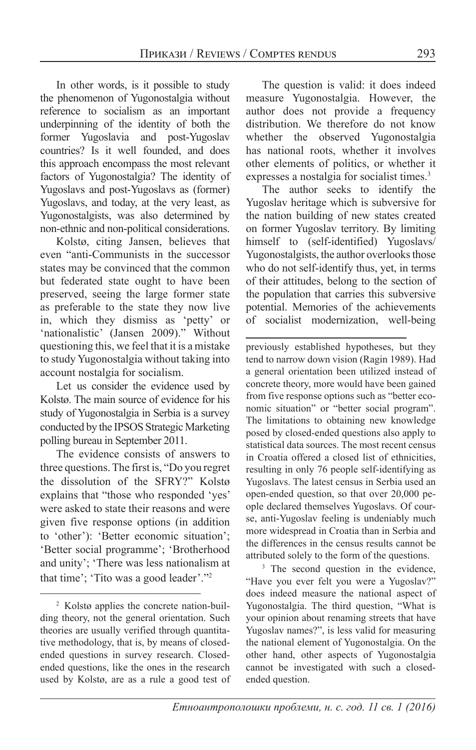In other words, is it possible to study the phenomenon of Yugonostalgia without reference to socialism as an important underpinning of the identity of both the former Yugoslavia and post-Yugoslav countries? Is it well founded, and does this approach encompass the most relevant factors of Yugonostalgia? The identity of Yugoslavs and post-Yugoslavs as (former) Yugoslavs, and today, at the very least, as Yugonostalgists, was also determined by non-ethnic and non-political considerations.

Kolstø, citing Jansen, believes that even "anti-Communists in the successor states may be convinced that the common but federated state ought to have been preserved, seeing the large former state as preferable to the state they now live in, which they dismiss as 'petty' or 'nationalistic' (Jansen 2009)." Without questioning this, we feel that it is a mistake to study Yugonostalgia without taking into account nostalgia for socialism.

Let us consider the evidence used by Kolstø. The main source of evidence for his study of Yugonostalgia in Serbia is a survey conducted by the IPSOS Strategic Marketing polling bureau in September 2011.

The evidence consists of answers to three questions. The first is, "Do you regret the dissolution of the SFRY?" Kolstø explains that "those who responded 'yes' were asked to state their reasons and were given five response options (in addition to 'other'): 'Better economic situation'; 'Better social programme'; 'Brotherhood and unity'; 'There was less nationalism at that time'; 'Tito was a good leader'."2

2 Kolstø applies the concrete nation-building theory, not the general orientation. Such theories are usually verified through quantitative methodology, that is, by means of closedended questions in survey research. Closedended questions, like the ones in the research used by Kolstø, are as a rule a good test of

The question is valid: it does indeed measure Yugonostalgia. However, the author does not provide a frequency distribution. We therefore do not know whether the observed Yugonostalgia has national roots, whether it involves other elements of politics, or whether it expresses a nostalgia for socialist times.<sup>3</sup>

The author seeks to identify the Yugoslav heritage which is subversive for the nation building of new states created on former Yugoslav territory. By limiting himself to (self-identified) Yugoslavs/ Yugonostalgists, the author overlooks those who do not self-identify thus, yet, in terms of their attitudes, belong to the section of the population that carries this subversive potential. Memories of the achievements of socialist modernization, well-being

previously established hypotheses, but they tend to narrow down vision (Ragin 1989). Had a general orientation been utilized instead of concrete theory, more would have been gained from five response options such as "better economic situation" or "better social program". The limitations to obtaining new knowledge posed by closed-ended questions also apply to statistical data sources. The most recent census in Croatia offered a closed list of ethnicities, resulting in only 76 people self-identifying as Yugoslavs. The latest census in Serbia used an open-ended question, so that over 20,000 people declared themselves Yugoslavs. Of course, anti-Yugoslav feeling is undeniably much more widespread in Croatia than in Serbia and the differences in the census results cannot be attributed solely to the form of the questions.

<sup>3</sup> The second question in the evidence, "Have you ever felt you were a Yugoslav?" does indeed measure the national aspect of Yugonostalgia. The third question, "What is your opinion about renaming streets that have Yugoslav names?", is less valid for measuring the national element of Yugonostalgia. On the other hand, other aspects of Yugonostalgia cannot be investigated with such a closedended question.